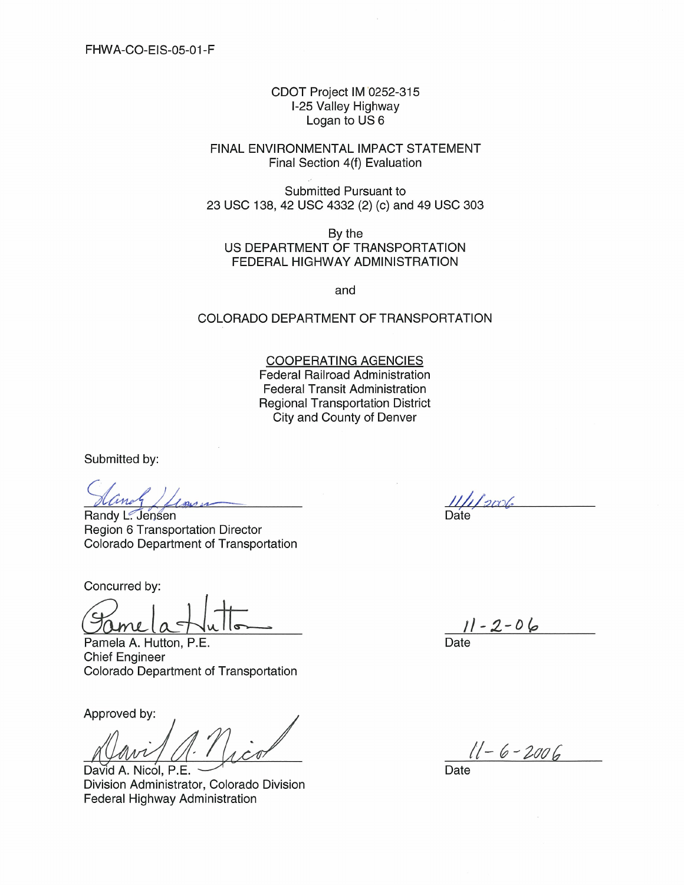CDOT Project IM 0252-315 I-25 Valley Highway Logan to US 6

FINAL ENVIRONMENTAL IMPACT STATEMENT Final Section 4(f) Evaluation

Submitted Pursuant to 23 USC 138, 42 USC 4332 (2) (c) and 49 USC 303

By the US DEPARTMENT OF TRANSPORTATION FEDERAL HIGHWAY ADMINISTRATION

and

## COLORADO DEPARTMENT OF TRANSPORTATION

**COOPERATING AGENCIES Federal Railroad Administration Federal Transit Administration Regional Transportation District** City and County of Denver

Submitted by:

Randy L. Jensen **Region 6 Transportation Director** Colorado Department of Transportation

Concurred by:

ame

Pamela A. Hutton, P.E. **Chief Engineer** Colorado Department of Transportation

Approved by:

David A. Nicol. P.E Division Administrator, Colorado Division Federal Highway Administration

 $1/12006$ **Date** 

 $11 - 2 - 06$ Date

 $11 - 6 - 2006$ 

Date